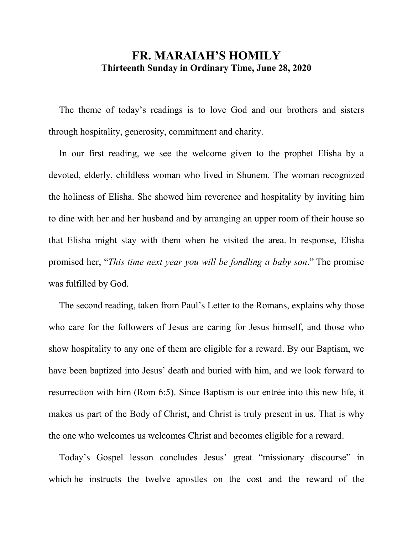## **FR. MARAIAH'S HOMILY Thirteenth Sunday in Ordinary Time, June 28, 2020**

 The theme of today's readings is to love God and our brothers and sisters through hospitality, generosity, commitment and charity.

 In our first reading, we see the welcome given to the prophet Elisha by a devoted, elderly, childless woman who lived in Shunem. The woman recognized the holiness of Elisha. She showed him reverence and hospitality by inviting him to dine with her and her husband and by arranging an upper room of their house so that Elisha might stay with them when he visited the area. In response, Elisha promised her, "*This time next year you will be fondling a baby son*." The promise was fulfilled by God.

 The second reading, taken from Paul's Letter to the Romans, explains why those who care for the followers of Jesus are caring for Jesus himself, and those who show hospitality to any one of them are eligible for a reward. By our Baptism, we have been baptized into Jesus' death and buried with him, and we look forward to resurrection with him (Rom 6:5). Since Baptism is our entrée into this new life, it makes us part of the Body of Christ, and Christ is truly present in us. That is why the one who welcomes us welcomes Christ and becomes eligible for a reward.

 Today's Gospel lesson concludes Jesus' great "missionary discourse" in which he instructs the twelve apostles on the cost and the reward of the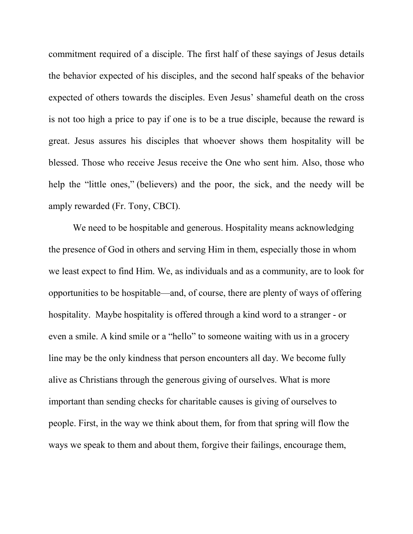commitment required of a disciple. The first half of these sayings of Jesus details the behavior expected of his disciples, and the second half speaks of the behavior expected of others towards the disciples. Even Jesus' shameful death on the cross is not too high a price to pay if one is to be a true disciple, because the reward is great. Jesus assures his disciples that whoever shows them hospitality will be blessed. Those who receive Jesus receive the One who sent him. Also, those who help the "little ones," (believers) and the poor, the sick, and the needy will be amply rewarded (Fr. Tony, CBCI).

We need to be hospitable and generous. Hospitality means acknowledging the presence of God in others and serving Him in them, especially those in whom we least expect to find Him. We, as individuals and as a community, are to look for opportunities to be hospitable—and, of course, there are plenty of ways of offering hospitality. Maybe hospitality is offered through a kind word to a stranger - or even a smile. A kind smile or a "hello" to someone waiting with us in a grocery line may be the only kindness that person encounters all day. We become fully alive as Christians through the generous giving of ourselves. What is more important than sending checks for charitable causes is giving of ourselves to people. First, in the way we think about them, for from that spring will flow the ways we speak to them and about them, forgive their failings, encourage them,